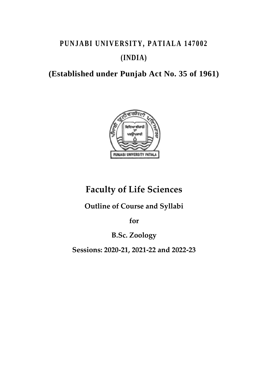# PUNJABI UNIVERSITY, PATIALA 147002 **(INDIA)**

**(Established under Punjab Act No. 35 of 1961)**



# **Faculty of Life Sciences**

**Outline of Course and Syllabi**

**for**

**B.Sc. Zoology**

**Sessions: 2020-21, 2021-22 and 2022-23**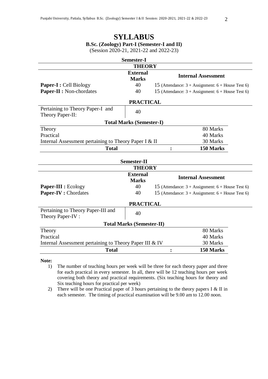## **SYLLABUS B.Sc. (Zoology) Part-I (Semester-I and II)**

| <b>Semester-I</b>                                       |                                 |                |                                                                     |  |  |  |
|---------------------------------------------------------|---------------------------------|----------------|---------------------------------------------------------------------|--|--|--|
|                                                         | <b>THEORY</b>                   |                |                                                                     |  |  |  |
|                                                         | <b>External</b><br><b>Marks</b> |                | <b>Internal Assessment</b>                                          |  |  |  |
| <b>Paper-I : Cell Biology</b>                           | 40                              |                | 15 (Attendance: $3 + \text{Assignment: } 6 + \text{House Test 6}$ ) |  |  |  |
| Paper-II : Non-chordates                                | 40                              |                | 15 (Attendance: $3 + \text{Assignment: } 6 + \text{House Test 6}$ ) |  |  |  |
| <b>PRACTICAL</b>                                        |                                 |                |                                                                     |  |  |  |
| Pertaining to Theory Paper-I and<br>Theory Paper-II:    | 40                              |                |                                                                     |  |  |  |
|                                                         | <b>Total Marks (Semester-I)</b> |                |                                                                     |  |  |  |
| Theory                                                  |                                 |                | 80 Marks                                                            |  |  |  |
| Practical                                               |                                 |                | 40 Marks                                                            |  |  |  |
| Internal Assessment pertaining to Theory Paper I & II   |                                 |                | 30 Marks                                                            |  |  |  |
| <b>Total</b>                                            |                                 | $\ddot{\cdot}$ | 150 Marks                                                           |  |  |  |
| <b>Semester-II</b>                                      |                                 |                |                                                                     |  |  |  |
|                                                         | <b>THEORY</b>                   |                |                                                                     |  |  |  |
|                                                         | <b>External</b><br><b>Marks</b> |                | <b>Internal Assessment</b>                                          |  |  |  |
| Paper-III : Ecology                                     | 40                              |                | 15 (Attendance: $3 + \text{Assignment: } 6 + \text{House Test 6}$ ) |  |  |  |
| Paper-IV : Chordates                                    | 40                              |                | 15 (Attendance: $3 + \text{Assignment: } 6 + \text{House Test 6}$ ) |  |  |  |
| <b>PRACTICAL</b>                                        |                                 |                |                                                                     |  |  |  |
| Pertaining to Theory Paper-III and<br>Theory Paper-IV:  | 40                              |                |                                                                     |  |  |  |
| <b>Total Marks (Semester-II)</b>                        |                                 |                |                                                                     |  |  |  |
| Theory                                                  |                                 |                | 80 Marks                                                            |  |  |  |
| Practical                                               |                                 |                | 40 Marks                                                            |  |  |  |
| Internal Assessment pertaining to Theory Paper III & IV |                                 |                | 30 Marks                                                            |  |  |  |
| <b>Total</b>                                            |                                 |                |                                                                     |  |  |  |

**Note:**

- 1) The number of teaching hours per week will be three for each theory paper and three for each practical in every semester. In all, there will be 12 teaching hours per week covering both theory and practical requirements. (Six teaching hours for theory and Six teaching hours for practical per week)
- 2) There will be one Practical paper of 3 hours pertaining to the theory papers I & II in each semester. The timing of practical examination will be 9.00 am to 12.00 noon.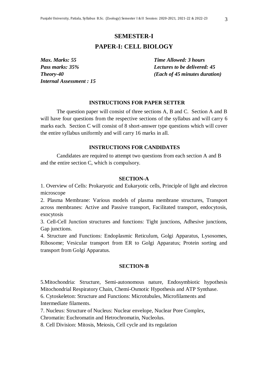## **SEMESTER-I PAPER-I: CELL BIOLOGY**

*Max. Marks: 55 Time Allowed: 3 hours Internal Assessment : 15*

*Pass marks: 35% Lectures to be delivered: 45 Theory-40 (Each of 45 minutes duration)*

#### **INSTRUCTIONS FOR PAPER SETTER**

The question paper will consist of three sections A, B and C. Section A and B will have four questions from the respective sections of the syllabus and will carry 6 marks each. Section C will consist of 8 short-answer type questions which will cover the entire syllabus uniformly and will carry 16 marks in all.

#### **INSTRUCTIONS FOR CANDIDATES**

Candidates are required to attempt two questions from each section A and B and the entire section C, which is compulsory.

#### **SECTION-A**

1. Overview of Cells: Prokaryotic and Eukaryotic cells, Principle of light and electron microscope

2. Plasma Membrane: Various models of plasma membrane structures, Transport across membranes: Active and Passive transport, Facilitated transport, endocytosis, exocytosis

3. Cell-Cell Junction structures and functions: Tight junctions, Adhesive junctions, Gap junctions.

4. Structure and Functions: Endoplasmic Reticulum, Golgi Apparatus, Lysosomes, Ribosome; Vesicular transport from ER to Golgi Apparatus; Protein sorting and transport from Golgi Apparatus.

#### **SECTION-B**

5.Mitochondria: Structure, Semi-autonomous nature, Endosymbiotic hypothesis Mitochondrial Respiratory Chain, Chemi-Osmotic Hypothesis and ATP Synthase.

6. Cytoskeleton: Structure and Functions: Microtubules, Microfilaments and Intermediate filaments.

7. Nucleus: Structure of Nucleus: Nuclear envelope, Nuclear Pore Complex, Chromatin: Euchromatin and Hetrochromatin, Nucleolus.

8. Cell Division: Mitosis, Meiosis, Cell cycle and its regulation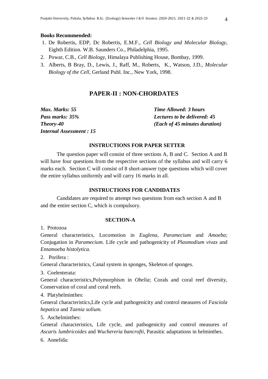#### **Books Recommended:**

- 1. De Robertis, EDP, Dc Robertis, E.M.F., *Cell Biology and Molecular Biology,* Eighth Edition. W.B. Saunders Co., Philadelphia, 1995.
- 2. Powar, C.B., *Cell Biology,* Himalaya Publishing House, Bombay, 1999.
- 3. Alberts, B Bray, D., Lewis, J., Raff, M., Roberts, K., Watson, J.D., *Molecular Biology of the Cell,* Gerland Publ. Inc., New York, 1998.

#### **PAPER-II : NON-CHORDATES**

| Max. Marks: 55                 | <b>Time Allowed: 3 hours</b>           |
|--------------------------------|----------------------------------------|
| Pass marks: 35%                | <b>Lectures to be delivered: 45</b>    |
| <b>Theory-40</b>               | ( <i>Each of 45 minutes duration</i> ) |
| <b>Internal Assessment: 15</b> |                                        |

#### **INSTRUCTIONS FOR PAPER SETTER**

The question paper will consist of three sections A, B and C. Section A and B will have four questions from the respective sections of the syllabus and will carry 6 marks each. Section C will consist of 8 short-answer type questions which will cover the entire syllabus uniformly and will carry 16 marks in all.

#### **INSTRUCTIONS FOR CANDIDATES**

Candidates are required to attempt two questions from each section A and B and the entire section C, which is compulsory.

#### **SECTION-A**

1. Protozoa

General characteristics, Locomotion in *Euglena*, *Paramecium* and *Amoeba*; Conjugation in *Paramecium*. Life cycle and pathogenicity of *Plasmodium vivax* and *Entamoeba histolytica.*

2. Porifera :

General characteristics, Canal system in sponges, Skeleton of sponges.

3. Coelenterata:

General characteristics,Polymorphism in *Obelia*; Corals and coral reef diversity, Conservation of coral and coral reefs.

4. Platyhelminthes:

General characteristics,Life cycle and pathogenicity and control measures of *Fasciola hepatica* and *Taenia solium.*

5. Aschelminthes:

General characteristics, Life cycle, and pathogenicity and control measures of *Ascaris-lumbricoides* and *Wuchereria bancrofti,* Parasitic adaptations in helminthes.

6. Annelida: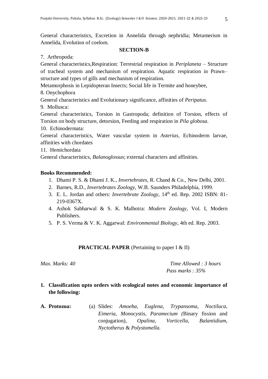General characteristics, Excretion in Annelida through nephridia; Metamerism in Annelida, Evolution of coelom.

#### **SECTION-B**

7. Arthropoda:

General characteristics,Respiration: Terrestrial respiration in *Periplaneta* – Structure of tracheal system and mechanism of respiration. Aquatic respiration in Prawn– structure and types of gills and mechanism of respiration.

Metamorphosis in Lepidopteran Insects; Social life in Termite and honeybee,

8. Onychophora

General characteristics and Evolutionary significance, affinities of *Peripatus.*

9. Mollusca:

General characteristics, Torsion in Gastropoda; definition of Torsion, effects of Torsion on body structure, detorsion, Feeding and respiration in *Pila globosa*.

10. Echinodermata:

General characteristics, Water vascular system in *Asterias*, Echinoderm larvae, affinities with chordates

11. Hemichordata

General characteristics, *Balanoglossus*; external characters and affinities.

#### **Books Recommended:**

- 1. Dhami P. S. & Dhami J. K., *Invertebrates,* R. Chand & Co., New Delhi, 2001.
- 2. Barnes, R.D., *Invertebrates Zoology,* W.B. Saunders Philadelphia, 1999.
- 3. E. L. Jordan and others: *Invertebrate Zoology,* 14th ed. Rep. 2002 ISBN: 81- 219-0367X.
- 4. Ashok Sabharwal & S. K. Malhotra: *Modern Zoology,* Vol. I, Modern Publishers.
- 5. P. S. Verma & V. K. Aggarwal: *Environmental Biology,* 4th ed. Rep. 2003.

### **PRACTICAL PAPER** (Pertaining to paper I & II)

*Max. Marks: 40 Time Allowed : 3 hours Pass marks : 35%*

- **1. Classification upto orders with ecological notes and economic importance of the following:**
- **A. Protozoa:** (a) Slides: *Amoeba, Euglena, Trypansoma, Noctiluca, Eimeria, Monocystis, Paramecium (*Binary fission and conjugation), *Opalina, Vorticella, Balantidium, Nyctotherus* & *Polystomella.*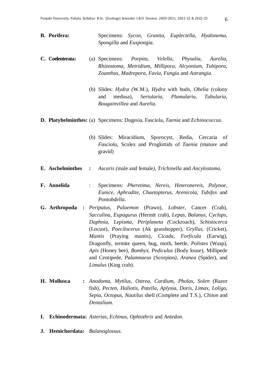**B. Porifera:** Specimens: *Sycon, Grantia, Euplectella, Hyalonema, Spongilla* and *Euspongia.*

#### **C. Coelenterata:** (a) Specimens: *Porpita, Velella, Physalia, Aurelia, Rhizostoma, Metridium, Millipora, Alcyonium, Tubipora, Zoanthus, Madrepora, Favia, Fungia* and *Astrangia.*

- (b) Slides: *Hydra (*W.M.), *Hydra* with buds, *Obelia (*colony and medusa), *Sertularia, Plumularia, Tubularia, Bougainvillea* and *Aurelia.*
- **D. Platyhelminthes:** (a) Specimens: Dugesia, Fasciola*, Taenia* and *Echinococcus.*
	- (b) Slides: Miracidium, Sporocyst, Redia, Cercaria of *Fasciola,* Scolex and Proglottids of *Taenia (*mature and gravid)
- **E. Aschelminthes :** *Ascaris (*male and female*), Trichinella* and *Ancylostoma.*
- **F. Annelida** : Specimens: *Pheretima, Nereis, Heteronereis, Polynoe, Eunice, Aphrodite, Chaetopterus, Arenicola, Tubifex* and *Pontobdella.*
- **G. Arthropoda :** *Peripatus, Palaemon* (Prawn), *Lobster,* Cancer (Crab), *Sacculina, Eupagurus (*Hermit crab), *Lepas, Balanus, Cyclops, Daphnia, Lepisma, Periplaneta (*Cockroach), *Schistocerca*  (Locust), *Poecilocerus* (Ak grasshopper), *Gryllus,* (Cricket), *Mantis* (Praying mantis), *Cicada, Forficula* (Earwig), Dragonfly, termite queen, bug, moth, beetle, *Polistes* (Wasp), *Apis* (Honey bee), *Bombyx, Pediculus* (Body louse), Millipede and Centipede, *Palamnaeus* (Scorpion*), Aranea* (Spider), and *Limulus* (King crab).
- **H. Mollusca :** *Anodonta, Mytilus, Ostrea, Cardium, Pholas, Solen* (Razor fish), *Pecten, Haliotis, Patella, Aplysia, Doris, Limax, Loligo, Sepia, Octopus, Nautilus* shell (Complete and T.S.), *Chiton* and *Dentalium.*
- **I. Echinodermata:** *Asterias, Echinus, Ophiothrix* and *Antedon.*
- **J. Hemichordata:** *Balanoglossus.*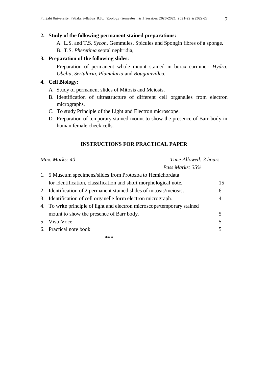#### **2. Study of the following permanent stained preparations:**

- A. L.S. and T.S. *Sycon,* Gemmules, Spicules and Spongin fibres of a sponge.
- B. T.S. *Pheretima* septal nephridia,

#### **3. Preparation of the following slides:**

Preparation of permanent whole mount stained in borax carmine : *Hydra, Obelia, Sertularia, Plumularia* and *Bougainvillea.*

#### **4. Cell Biology:**

- A. Study of permanent slides of Mitosis and Meiosis.
- B. Identification of ultrastructure of different cell organelles from electron micrographs.
- C. To study Principle of the Light and Electron microscope.
- D. Preparation of temporary stained mount to show the presence of Barr body in human female cheek cells.

#### **INSTRUCTIONS FOR PRACTICAL PAPER**

| Time Allowed: 3 hours<br>Max. Marks: 40                                  |    |
|--------------------------------------------------------------------------|----|
| Pass Marks: 35%                                                          |    |
| 1. 5 Museum specimens/slides from Protozoa to Hemichordata               |    |
| for identification, classification and short morphological note.         | 15 |
| 2. Identification of 2 permanent stained slides of mitosis/meiosis.      | 6  |
| 3. Identification of cell organelle form electron micrograph.            | 4  |
| 4. To write principle of light and electron microscope/temporary stained |    |
| mount to show the presence of Barr body.                                 |    |
| 5. Viva-Voce                                                             | 5  |
| 6. Practical note book                                                   |    |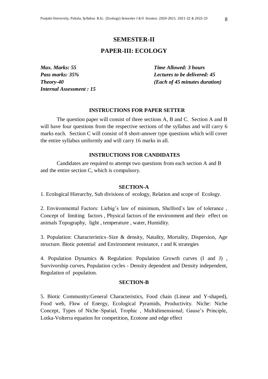#### **SEMESTER-II**

#### **PAPER-III: ECOLOGY**

*Internal Assessment : 15*

*Max. Marks: 55 Time Allowed: 3 hours Pass marks: 35% Lectures to be delivered: 45 Theory-40 (Each of 45 minutes duration)*

#### **INSTRUCTIONS FOR PAPER SETTER**

The question paper will consist of three sections A, B and C. Section A and B will have four questions from the respective sections of the syllabus and will carry 6 marks each. Section C will consist of 8 short-answer type questions which will cover the entire syllabus uniformly and will carry 16 marks in all.

#### **INSTRUCTIONS FOR CANDIDATES**

Candidates are required to attempt two questions from each section A and B and the entire section C, which is compulsory.

#### **SECTION-A**

1. Ecological Hierarchy, Sub divisions of ecology, Relation and scope of Ecology.

2. Environmental Factors: Liebig's law of minimum, Shelford's law of tolerance , Concept of limiting factors , Physical factors of the environment and their effect on animals Topography, light , temperature , water, Humidity.

3. Population: Characteristics–Size & density, Natality, Mortality, Dispersion, Age structure. Biotic potential and Environment resistance, r and K strategies

4. Population Dynamics & Regulation: Population Growth curves (I and J) , Survivorship curves, Population cycles - Density dependent and Density independent, Regulation of population.

#### **SECTION-B**

5. Biotic Community:General Characteristics, Food chain (Linear and Y-shaped), Food web, Flow of Energy, Ecological Pyramids, Productivity. Niche: Niche Concept, Types of Niche–Spatial, Trophic , Multidimensional; Gause's Principle, Lotka-Volterra equation for competition, Ecotone and edge effect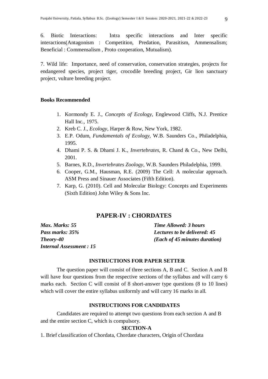6. Biotic Interactions: Intra specific interactions and Inter specific interactions(Antagonism : Competition, Predation, Parasitism, Ammensalism; Beneficial : Commensalism , Proto cooperation, Mutualism).

7. Wild life: Importance, need of conservation, conservation strategies, projects for endangered species, project tiger, crocodile breeding project, Gir lion sanctuary project, vulture breeding project.

#### **Books Recommended**

- 1. Kormondy E. J., *Concepts of Ecology,* Englewood Cliffs, N.J. Prentice Hall Inc., 1975.
- 2. Kreb C. J., *Ecology,* Harper & Row, New York, 1982.
- 3. E.P. Odum, *Fundamentals of Ecology,* W.B. Saunders Co., Philadelphia, 1995.
- 4. Dhami P. S. & Dhami J. K., *Invertebrates,* R. Chand & Co., New Delhi, 2001.
- 5. Barnes, R.D., *Invertebrates Zoology,* W.B. Saunders Philadelphia, 1999.
- 6. Cooper, G.M., Hausman, R.E. (2009) The Cell: A molecular approach. ASM Press and Sinauer Associates (Fifth Edition).
- 7. Karp, G. (2010). Cell and Molecular Biology: Concepts and Experiments (Sixth Edition) John Wiley & Sons Inc.

#### **PAPER-IV : CHORDATES**

| Max. Marks: 55                  | <b>Time Allowed: 3 hours</b>        |
|---------------------------------|-------------------------------------|
| Pass marks: 35%                 | <b>Lectures to be delivered: 45</b> |
| Theory-40                       | (Each of 45 minutes duration)       |
| <b>Internal Assessment : 15</b> |                                     |

#### **INSTRUCTIONS FOR PAPER SETTER**

The question paper will consist of three sections A, B and C. Section A and B will have four questions from the respective sections of the syllabus and will carry 6 marks each. Section C will consist of 8 short-answer type questions (8 to 10 lines) which will cover the entire syllabus uniformly and will carry 16 marks in all.

#### **INSTRUCTIONS FOR CANDIDATES**

Candidates are required to attempt two questions from each section A and B and the entire section C, which is compulsory.

#### **SECTION-A**

1. Brief classification of Chordata, Chordate characters, Origin of Chordata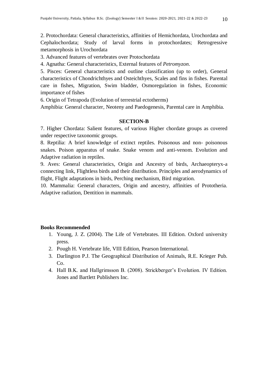2. Protochordata: General characteristics, affinities of Hemichordata, Urochordata and Cephalochordata; Study of larval forms in protochordates; Retrogressive metamorphosis in Urochordata

3. Advanced features of vertebrates over Protochordata

4. Agnatha: General characteristics, External features of *Petromyzon*.

5. Pisces: General characteristics and outline classification (up to order), General characteristics of Chondrichthyes and Osteichthyes, Scales and fins in fishes. Parental care in fishes, Migration, Swim bladder, Osmoregulation in fishes, Economic importance of fishes

6. Origin of Tetrapoda (Evolution of terrestrial ectotherms)

Amphibia: General character, Neoteny and Paedogenesis, Parental care in Amphibia.

#### **SECTION-B**

7. Higher Chordata: Salient features, of various Higher chordate groups as covered under respective taxonomic groups.

8. Reptilia: A brief knowledge of extinct reptiles. Poisonous and non- poisonous snakes. Poison apparatus of snake. Snake venom and anti-venom. Evolution and Adaptive radiation in reptiles.

9. Aves: General characteristics, Origin and Ancestry of birds, Archaeopteryx-a connecting link, Flightless birds and their distribution. Principles and aerodynamics of flight, Flight adaptations in birds, Perching mechanism, Bird migration.

10. Mammalia: General characters, Origin and ancestry, affinities of Prototheria. Adaptive radiation, Dentition in mammals.

#### **Books Recommended**

- 1. Young, J. Z. (2004). The Life of Vertebrates. III Edition. Oxford university press.
- 2. Pough H. Vertebrate life, VIII Edition, Pearson International.
- 3. Darlington P.J. The Geographical Distribution of Animals, R.E. Krieger Pub. Co.
- 4. Hall B.K. and Hallgrimsson B. (2008). Strickberger's Evolution. IV Edition. Jones and Bartlett Publishers Inc.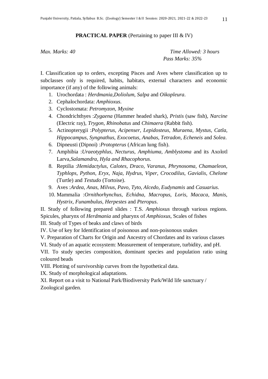#### **PRACTICAL PAPER** (Pertaining to paper III & IV)

*Max. Marks: 40 Time Allowed: 3 hours Pass Marks: 35%* 

I. Classification up to orders, excepting Pisces and Aves where classification up to subclasses only is required, habits, habitats, external characters and economic importance (if any) of the following animals:

- 1. Urochordata : *Herdmania,Doliolum, Salpa* and *Oikopleura*.
- 2. Cephalochordata: *Amphioxus*.
- 3. Cyclostomata: *Petromyzon*, *Myxine*
- 4. Chondrichthyes :*Zygaena* (Hammer headed shark), *Pristis* (saw fish), *Narcine* (Electric ray), *Trygon*, *Rhinobatus* and *Chimaera* (Rabbit fish).
- 5. Actinopterygii :*Polypterus, Acipenser, Lepidosteus, Muraena, Mystus, Catla, Hippocampus, Syngnathus, Exocoetus, Anabas, Tetradon, Echeneis* and *Solea*.
- 6. Dipneusti (Dipnoi) :*Protopterus* (African lung fish).
- 7. Amphibia :*Uraeotyphlus, Necturus, Amphiuma, Amblystoma* and its Axolotl Larva,*Salamandra, Hyla and Rhacophorus*.
- 8. Reptilia :*Hemidactylus, Calotes, Draco, Varanus, Phrynosoma, Chamaeleon, Typhlops, Python, Eryx, Naja, Hydrus, Viper, Crocodilus, Gavialis, Chelone* (Turtle) and *Testudo* (Tortoise).
- 9. Aves :*Ardea, Anas, Milvus, Pavo, Tyto, Alcedo, Eudynamis* and *Casuarius*.
- 10. Mammalia :*Ornithorhynchus, Echidna, Macropus, Loris, Macaca, Manis, Hystrix, Funambulus, Herpestes* and *Pteropus*.

II. Study of following prepared slides : T.S. *Amphioxus* through various regions. Spicules, pharynx of *Herdmania* and pharynx of *Amphioxus*, Scales of fishes

III. Study of Types of beaks and claws of birds

IV. Use of key for Identification of poisonous and non-poisonous snakes

V. Preparation of Charts for Origin and Ancestry of Chordates and its various classes

VI. Study of an aquatic ecosystem: Measurement of temperature, turbidity, and pH.

VII. To study species composition, dominant species and population ratio using coloured beads

VIII. Plotting of survivorship curves from the hypothetical data.

IX. Study of morphological adaptations.

XI. Report on a visit to National Park/Biodiversity Park/Wild life sanctuary / Zoological garden.